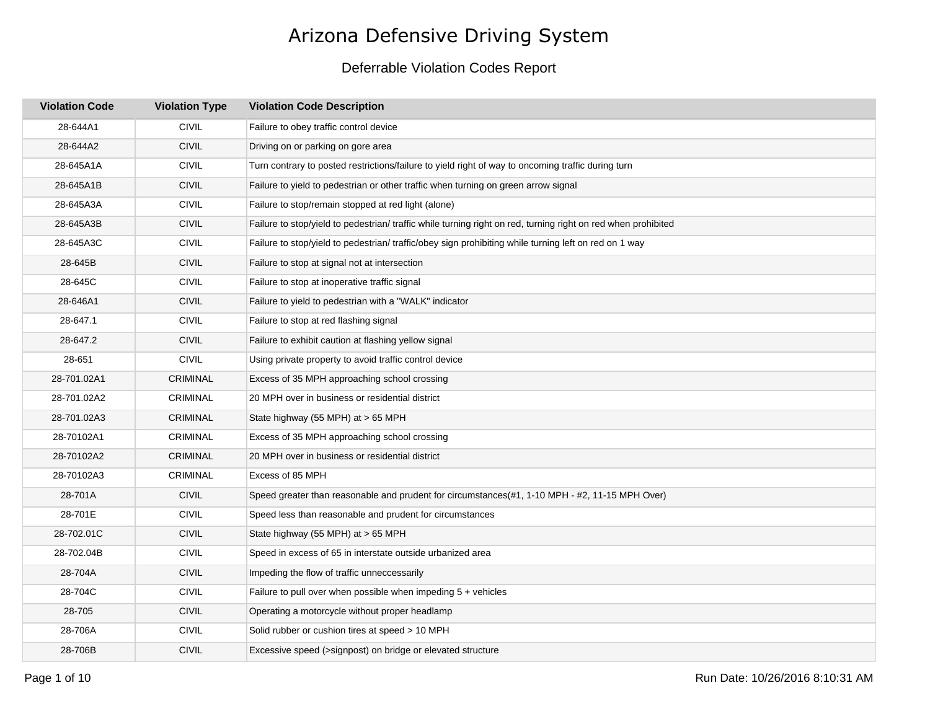| <b>Violation Code</b> | <b>Violation Type</b> | <b>Violation Code Description</b>                                                                             |
|-----------------------|-----------------------|---------------------------------------------------------------------------------------------------------------|
| 28-644A1              | <b>CIVIL</b>          | Failure to obey traffic control device                                                                        |
| 28-644A2              | <b>CIVIL</b>          | Driving on or parking on gore area                                                                            |
| 28-645A1A             | <b>CIVIL</b>          | Turn contrary to posted restrictions/failure to yield right of way to oncoming traffic during turn            |
| 28-645A1B             | <b>CIVIL</b>          | Failure to yield to pedestrian or other traffic when turning on green arrow signal                            |
| 28-645A3A             | <b>CIVIL</b>          | Failure to stop/remain stopped at red light (alone)                                                           |
| 28-645A3B             | <b>CIVIL</b>          | Failure to stop/yield to pedestrian/ traffic while turning right on red, turning right on red when prohibited |
| 28-645A3C             | <b>CIVIL</b>          | Failure to stop/yield to pedestrian/ traffic/obey sign prohibiting while turning left on red on 1 way         |
| 28-645B               | <b>CIVIL</b>          | Failure to stop at signal not at intersection                                                                 |
| 28-645C               | <b>CIVIL</b>          | Failure to stop at inoperative traffic signal                                                                 |
| 28-646A1              | <b>CIVIL</b>          | Failure to yield to pedestrian with a "WALK" indicator                                                        |
| 28-647.1              | <b>CIVIL</b>          | Failure to stop at red flashing signal                                                                        |
| 28-647.2              | <b>CIVIL</b>          | Failure to exhibit caution at flashing yellow signal                                                          |
| 28-651                | <b>CIVIL</b>          | Using private property to avoid traffic control device                                                        |
| 28-701.02A1           | <b>CRIMINAL</b>       | Excess of 35 MPH approaching school crossing                                                                  |
| 28-701.02A2           | <b>CRIMINAL</b>       | 20 MPH over in business or residential district                                                               |
| 28-701.02A3           | CRIMINAL              | State highway (55 MPH) at > 65 MPH                                                                            |
| 28-70102A1            | <b>CRIMINAL</b>       | Excess of 35 MPH approaching school crossing                                                                  |
| 28-70102A2            | <b>CRIMINAL</b>       | 20 MPH over in business or residential district                                                               |
| 28-70102A3            | <b>CRIMINAL</b>       | Excess of 85 MPH                                                                                              |
| 28-701A               | <b>CIVIL</b>          | Speed greater than reasonable and prudent for circumstances(#1, 1-10 MPH - #2, 11-15 MPH Over)                |
| 28-701E               | <b>CIVIL</b>          | Speed less than reasonable and prudent for circumstances                                                      |
| 28-702.01C            | <b>CIVIL</b>          | State highway (55 MPH) at > 65 MPH                                                                            |
| 28-702.04B            | <b>CIVIL</b>          | Speed in excess of 65 in interstate outside urbanized area                                                    |
| 28-704A               | <b>CIVIL</b>          | Impeding the flow of traffic unneccessarily                                                                   |
| 28-704C               | <b>CIVIL</b>          | Failure to pull over when possible when impeding $5 +$ vehicles                                               |
| 28-705                | <b>CIVIL</b>          | Operating a motorcycle without proper headlamp                                                                |
| 28-706A               | <b>CIVIL</b>          | Solid rubber or cushion tires at speed > 10 MPH                                                               |
| 28-706B               | <b>CIVIL</b>          | Excessive speed (>signpost) on bridge or elevated structure                                                   |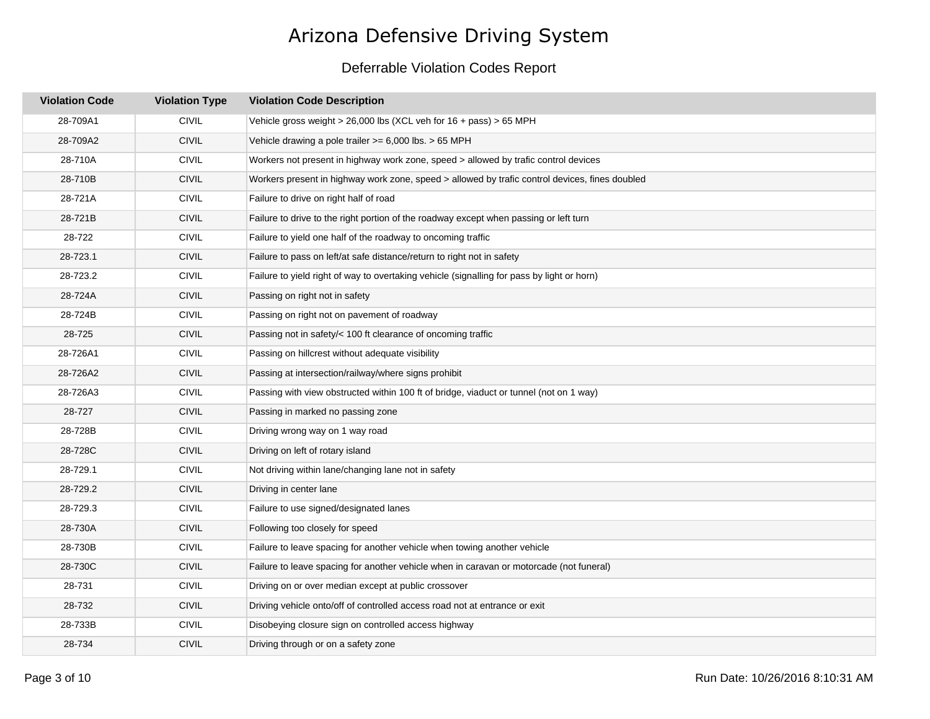| <b>Violation Code</b> | <b>Violation Type</b> | <b>Violation Code Description</b>                                                              |
|-----------------------|-----------------------|------------------------------------------------------------------------------------------------|
| 28-709A1              | <b>CIVIL</b>          | Vehicle gross weight > 26,000 lbs (XCL veh for $16 + \text{pass}$ ) > 65 MPH                   |
| 28-709A2              | <b>CIVIL</b>          | Vehicle drawing a pole trailer $>= 6,000$ lbs. $> 65$ MPH                                      |
| 28-710A               | CIVIL                 | Workers not present in highway work zone, speed > allowed by trafic control devices            |
| 28-710B               | <b>CIVIL</b>          | Workers present in highway work zone, speed > allowed by trafic control devices, fines doubled |
| 28-721A               | <b>CIVIL</b>          | Failure to drive on right half of road                                                         |
| 28-721B               | CIVIL                 | Failure to drive to the right portion of the roadway except when passing or left turn          |
| 28-722                | <b>CIVIL</b>          | Failure to yield one half of the roadway to oncoming traffic                                   |
| 28-723.1              | <b>CIVIL</b>          | Failure to pass on left/at safe distance/return to right not in safety                         |
| 28-723.2              | <b>CIVIL</b>          | Failure to yield right of way to overtaking vehicle (signalling for pass by light or horn)     |
| 28-724A               | CIVIL                 | Passing on right not in safety                                                                 |
| 28-724B               | <b>CIVIL</b>          | Passing on right not on pavement of roadway                                                    |
| 28-725                | <b>CIVIL</b>          | Passing not in safety/< 100 ft clearance of oncoming traffic                                   |
| 28-726A1              | <b>CIVIL</b>          | Passing on hillcrest without adequate visibility                                               |
| 28-726A2              | <b>CIVIL</b>          | Passing at intersection/railway/where signs prohibit                                           |
| 28-726A3              | <b>CIVIL</b>          | Passing with view obstructed within 100 ft of bridge, viaduct or tunnel (not on 1 way)         |
| 28-727                | <b>CIVIL</b>          | Passing in marked no passing zone                                                              |
| 28-728B               | <b>CIVIL</b>          | Driving wrong way on 1 way road                                                                |
| 28-728C               | <b>CIVIL</b>          | Driving on left of rotary island                                                               |
| 28-729.1              | <b>CIVIL</b>          | Not driving within lane/changing lane not in safety                                            |
| 28-729.2              | <b>CIVIL</b>          | Driving in center lane                                                                         |
| 28-729.3              | <b>CIVIL</b>          | Failure to use signed/designated lanes                                                         |
| 28-730A               | <b>CIVIL</b>          | Following too closely for speed                                                                |
| 28-730B               | <b>CIVIL</b>          | Failure to leave spacing for another vehicle when towing another vehicle                       |
| 28-730C               | <b>CIVIL</b>          | Failure to leave spacing for another vehicle when in caravan or motorcade (not funeral)        |
| 28-731                | <b>CIVIL</b>          | Driving on or over median except at public crossover                                           |
| 28-732                | <b>CIVIL</b>          | Driving vehicle onto/off of controlled access road not at entrance or exit                     |
| 28-733B               | <b>CIVIL</b>          | Disobeying closure sign on controlled access highway                                           |
| 28-734                | <b>CIVIL</b>          | Driving through or on a safety zone                                                            |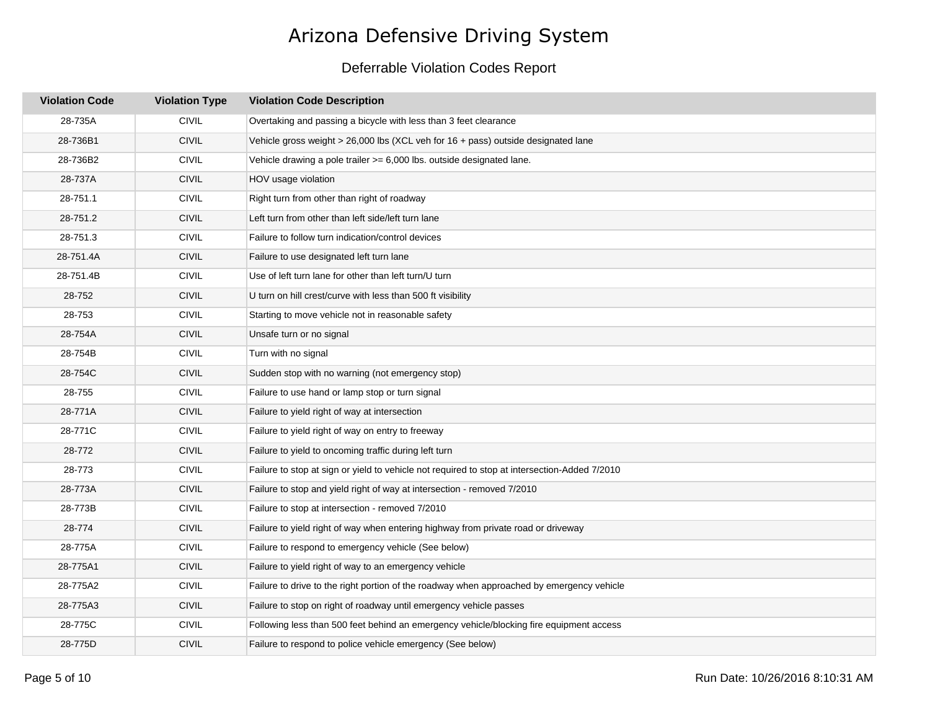| <b>Violation Code</b> | <b>Violation Type</b> | <b>Violation Code Description</b>                                                             |
|-----------------------|-----------------------|-----------------------------------------------------------------------------------------------|
| 28-735A               | <b>CIVIL</b>          | Overtaking and passing a bicycle with less than 3 feet clearance                              |
| 28-736B1              | <b>CIVIL</b>          | Vehicle gross weight $> 26,000$ lbs (XCL veh for 16 + pass) outside designated lane           |
| 28-736B2              | <b>CIVIL</b>          | Vehicle drawing a pole trailer $>= 6,000$ lbs. outside designated lane.                       |
| 28-737A               | <b>CIVIL</b>          | HOV usage violation                                                                           |
| 28-751.1              | <b>CIVIL</b>          | Right turn from other than right of roadway                                                   |
| 28-751.2              | <b>CIVIL</b>          | Left turn from other than left side/left turn lane                                            |
| 28-751.3              | <b>CIVIL</b>          | Failure to follow turn indication/control devices                                             |
| 28-751.4A             | <b>CIVIL</b>          | Failure to use designated left turn lane                                                      |
| 28-751.4B             | <b>CIVIL</b>          | Use of left turn lane for other than left turn/U turn                                         |
| 28-752                | <b>CIVIL</b>          | U turn on hill crest/curve with less than 500 ft visibility                                   |
| 28-753                | <b>CIVIL</b>          | Starting to move vehicle not in reasonable safety                                             |
| 28-754A               | <b>CIVIL</b>          | Unsafe turn or no signal                                                                      |
| 28-754B               | <b>CIVIL</b>          | Turn with no signal                                                                           |
| 28-754C               | <b>CIVIL</b>          | Sudden stop with no warning (not emergency stop)                                              |
| 28-755                | <b>CIVIL</b>          | Failure to use hand or lamp stop or turn signal                                               |
| 28-771A               | <b>CIVIL</b>          | Failure to yield right of way at intersection                                                 |
| 28-771C               | <b>CIVIL</b>          | Failure to yield right of way on entry to freeway                                             |
| 28-772                | <b>CIVIL</b>          | Failure to yield to oncoming traffic during left turn                                         |
| 28-773                | <b>CIVIL</b>          | Failure to stop at sign or yield to vehicle not required to stop at intersection-Added 7/2010 |
| 28-773A               | <b>CIVIL</b>          | Failure to stop and yield right of way at intersection - removed 7/2010                       |
| 28-773B               | <b>CIVIL</b>          | Failure to stop at intersection - removed 7/2010                                              |
| 28-774                | <b>CIVIL</b>          | Failure to yield right of way when entering highway from private road or driveway             |
| 28-775A               | <b>CIVIL</b>          | Failure to respond to emergency vehicle (See below)                                           |
| 28-775A1              | <b>CIVIL</b>          | Failure to yield right of way to an emergency vehicle                                         |
| 28-775A2              | <b>CIVIL</b>          | Failure to drive to the right portion of the roadway when approached by emergency vehicle     |
| 28-775A3              | <b>CIVIL</b>          | Failure to stop on right of roadway until emergency vehicle passes                            |
| 28-775C               | <b>CIVIL</b>          | Following less than 500 feet behind an emergency vehicle/blocking fire equipment access       |
| 28-775D               | <b>CIVIL</b>          | Failure to respond to police vehicle emergency (See below)                                    |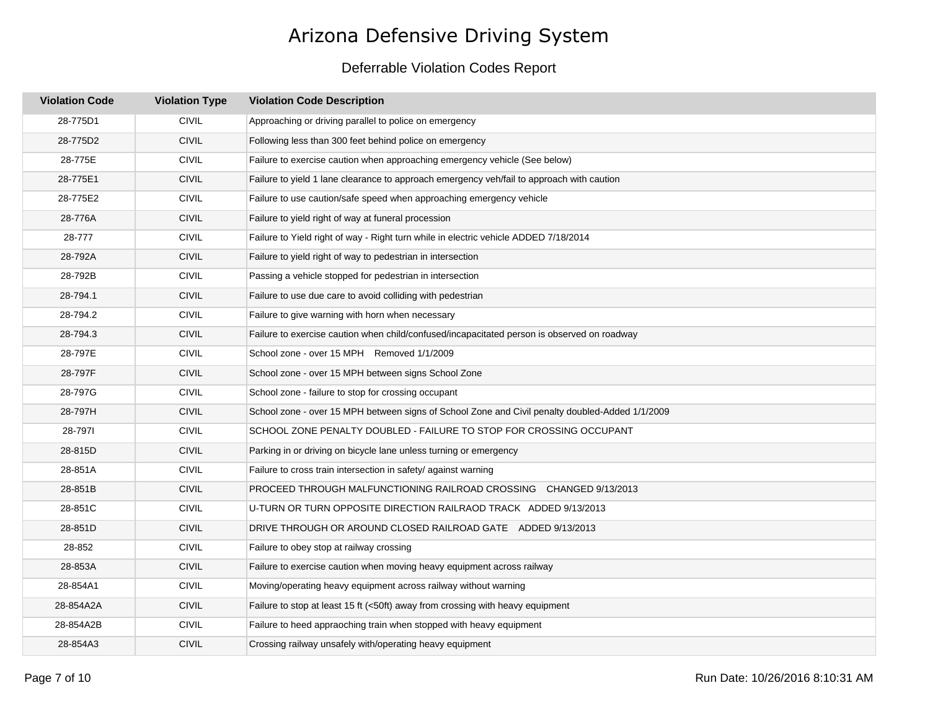| <b>Violation Code</b> | <b>Violation Type</b> | <b>Violation Code Description</b>                                                               |
|-----------------------|-----------------------|-------------------------------------------------------------------------------------------------|
| 28-775D1              | <b>CIVIL</b>          | Approaching or driving parallel to police on emergency                                          |
| 28-775D2              | <b>CIVIL</b>          | Following less than 300 feet behind police on emergency                                         |
| 28-775E               | <b>CIVIL</b>          | Failure to exercise caution when approaching emergency vehicle (See below)                      |
| 28-775E1              | <b>CIVIL</b>          | Failure to yield 1 lane clearance to approach emergency veh/fail to approach with caution       |
| 28-775E2              | <b>CIVIL</b>          | Failure to use caution/safe speed when approaching emergency vehicle                            |
| 28-776A               | <b>CIVIL</b>          | Failure to yield right of way at funeral procession                                             |
| 28-777                | <b>CIVIL</b>          | Failure to Yield right of way - Right turn while in electric vehicle ADDED 7/18/2014            |
| 28-792A               | <b>CIVIL</b>          | Failure to yield right of way to pedestrian in intersection                                     |
| 28-792B               | <b>CIVIL</b>          | Passing a vehicle stopped for pedestrian in intersection                                        |
| 28-794.1              | <b>CIVIL</b>          | Failure to use due care to avoid colliding with pedestrian                                      |
| 28-794.2              | <b>CIVIL</b>          | Failure to give warning with horn when necessary                                                |
| 28-794.3              | <b>CIVIL</b>          | Failure to exercise caution when child/confused/incapacitated person is observed on roadway     |
| 28-797E               | <b>CIVIL</b>          | School zone - over 15 MPH Removed 1/1/2009                                                      |
| 28-797F               | <b>CIVIL</b>          | School zone - over 15 MPH between signs School Zone                                             |
| 28-797G               | <b>CIVIL</b>          | School zone - failure to stop for crossing occupant                                             |
| 28-797H               | <b>CIVIL</b>          | School zone - over 15 MPH between signs of School Zone and Civil penalty doubled-Added 1/1/2009 |
| 28-7971               | <b>CIVIL</b>          | SCHOOL ZONE PENALTY DOUBLED - FAILURE TO STOP FOR CROSSING OCCUPANT                             |
| 28-815D               | <b>CIVIL</b>          | Parking in or driving on bicycle lane unless turning or emergency                               |
| 28-851A               | <b>CIVIL</b>          | Failure to cross train intersection in safety/ against warning                                  |
| 28-851B               | <b>CIVIL</b>          | PROCEED THROUGH MALFUNCTIONING RAILROAD CROSSING CHANGED 9/13/2013                              |
| 28-851C               | <b>CIVIL</b>          | U-TURN OR TURN OPPOSITE DIRECTION RAILRAOD TRACK ADDED 9/13/2013                                |
| 28-851D               | <b>CIVIL</b>          | DRIVE THROUGH OR AROUND CLOSED RAILROAD GATE ADDED 9/13/2013                                    |
| 28-852                | <b>CIVIL</b>          | Failure to obey stop at railway crossing                                                        |
| 28-853A               | <b>CIVIL</b>          | Failure to exercise caution when moving heavy equipment across railway                          |
| 28-854A1              | <b>CIVIL</b>          | Moving/operating heavy equipment across railway without warning                                 |
| 28-854A2A             | <b>CIVIL</b>          | Failure to stop at least 15 ft (<50ft) away from crossing with heavy equipment                  |
| 28-854A2B             | <b>CIVIL</b>          | Failure to heed appraoching train when stopped with heavy equipment                             |
| 28-854A3              | <b>CIVIL</b>          | Crossing railway unsafely with/operating heavy equipment                                        |